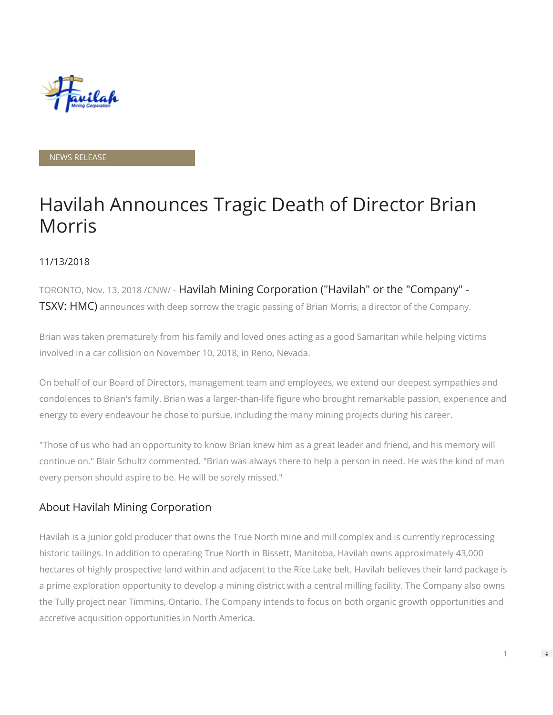

#### NEWS RELEASE

# Havilah Announces Tragic Death of Director Brian Morris

#### 11/13/2018

TORONTO, Nov. 13, 2018 /CNW/ - Havilah Mining Corporation ("Havilah" or the "Company" - TSXV: HMC) announces with deep sorrow the tragic passing of Brian Morris, a director of the Company.

Brian was taken prematurely from his family and loved ones acting as a good Samaritan while helping victims involved in a car collision on November 10, 2018, in Reno, Nevada.

On behalf of our Board of Directors, management team and employees, we extend our deepest sympathies and condolences to Brian's family. Brian was a larger-than-life figure who brought remarkable passion, experience and energy to every endeavour he chose to pursue, including the many mining projects during his career.

"Those of us who had an opportunity to know Brian knew him as a great leader and friend, and his memory will continue on." Blair Schultz commented. "Brian was always there to help a person in need. He was the kind of man every person should aspire to be. He will be sorely missed."

### About Havilah Mining Corporation

Havilah is a junior gold producer that owns the True North mine and mill complex and is currently reprocessing historic tailings. In addition to operating True North in Bissett, Manitoba, Havilah owns approximately 43,000 hectares of highly prospective land within and adjacent to the Rice Lake belt. Havilah believes their land package is a prime exploration opportunity to develop a mining district with a central milling facility. The Company also owns the Tully project near Timmins, Ontario. The Company intends to focus on both organic growth opportunities and accretive acquisition opportunities in North America.

1

 $\Rightarrow$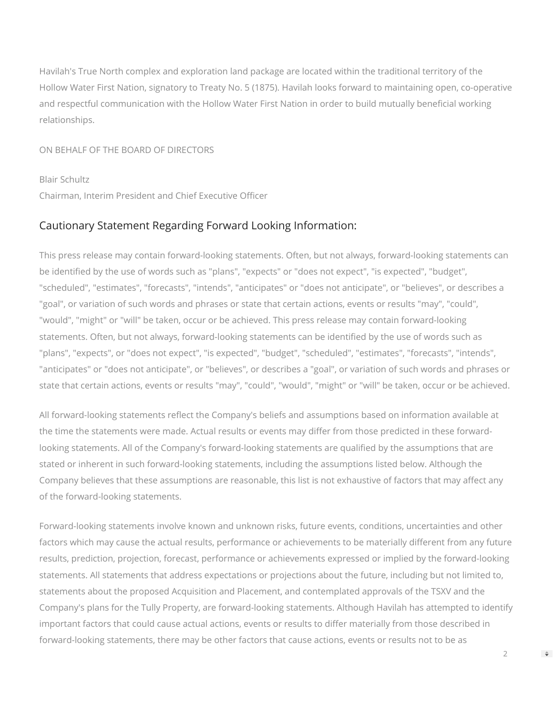Havilah's True North complex and exploration land package are located within the traditional territory of the Hollow Water First Nation, signatory to Treaty No. 5 (1875). Havilah looks forward to maintaining open, co-operative and respectful communication with the Hollow Water First Nation in order to build mutually beneficial working relationships.

ON BEHALF OF THE BOARD OF DIRECTORS

Blair Schultz Chairman, Interim President and Chief Executive Officer

## Cautionary Statement Regarding Forward Looking Information:

This press release may contain forward-looking statements. Often, but not always, forward-looking statements can be identified by the use of words such as "plans", "expects" or "does not expect", "is expected", "budget", "scheduled", "estimates", "forecasts", "intends", "anticipates" or "does not anticipate", or "believes", or describes a "goal", or variation of such words and phrases or state that certain actions, events or results "may", "could", "would", "might" or "will" be taken, occur or be achieved. This press release may contain forward-looking statements. Often, but not always, forward-looking statements can be identified by the use of words such as "plans", "expects", or "does not expect", "is expected", "budget", "scheduled", "estimates", "forecasts", "intends", "anticipates" or "does not anticipate", or "believes", or describes a "goal", or variation of such words and phrases or state that certain actions, events or results "may", "could", "would", "might" or "will" be taken, occur or be achieved.

All forward-looking statements reflect the Company's beliefs and assumptions based on information available at the time the statements were made. Actual results or events may differ from those predicted in these forwardlooking statements. All of the Company's forward-looking statements are qualified by the assumptions that are stated or inherent in such forward-looking statements, including the assumptions listed below. Although the Company believes that these assumptions are reasonable, this list is not exhaustive of factors that may affect any of the forward-looking statements.

Forward-looking statements involve known and unknown risks, future events, conditions, uncertainties and other factors which may cause the actual results, performance or achievements to be materially different from any future results, prediction, projection, forecast, performance or achievements expressed or implied by the forward-looking statements. All statements that address expectations or projections about the future, including but not limited to, statements about the proposed Acquisition and Placement, and contemplated approvals of the TSXV and the Company's plans for the Tully Property, are forward-looking statements. Although Havilah has attempted to identify important factors that could cause actual actions, events or results to differ materially from those described in forward-looking statements, there may be other factors that cause actions, events or results not to be as

 $\mathfrak{D}$ 

 $\Rightarrow$